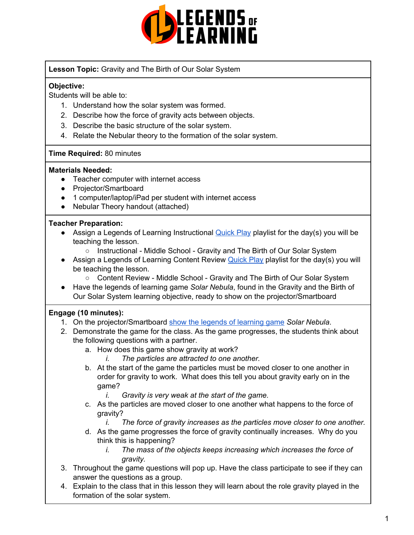

**Lesson Topic:** Gravity and The Birth of Our Solar System

### **Objective:**

Students will be able to:

- 1. Understand how the solar system was formed.
- 2. Describe how the force of gravity acts between objects.
- 3. Describe the basic structure of the solar system.
- 4. Relate the Nebular theory to the formation of the solar system.

### **Time Required:** 80 minutes

### **Materials Needed:**

- Teacher computer with internet access
- Projector/Smartboard
- 1 computer/laptop/iPad per student with internet access
- Nebular Theory handout (attached)

### **Teacher Preparation:**

- Assign a Legends of Learning Instructional **[Quick](https://intercom.help/legends-of-learning/en/articles/2701866-assigning-a-quick-play-playlist) Play playlist for the day(s)** you will be teaching the lesson.
	- Instructional Middle School Gravity and The Birth of Our Solar System
- Assign a Legends of Learning Content Review **[Quick](https://intercom.help/legends-of-learning/en/articles/2701866-assigning-a-quick-play-playlist) Play playlist for the day(s)** you will be teaching the lesson.
	- Content Review Middle School Gravity and The Birth of Our Solar System
- Have the legends of learning game *Solar Nebula*, found in the Gravity and the Birth of Our Solar System learning objective, ready to show on the projector/Smartboard

## **Engage (10 minutes):**

- 1. On the projector/Smartboard show the legends of [learning](https://intercom.help/legends-of-learning/en/articles/3497269-trying-games) game *Solar Nebula*.
- 2. Demonstrate the game for the class. As the game progresses, the students think about the following questions with a partner.
	- a. How does this game show gravity at work?
		- *i. The particles are attracted to one another.*
	- b. At the start of the game the particles must be moved closer to one another in order for gravity to work. What does this tell you about gravity early on in the game?
		- *i. Gravity is very weak at the start of the game.*
	- c. As the particles are moved closer to one another what happens to the force of gravity?
		- *i. The force of gravity increases as the particles move closer to one another.*
	- d. As the game progresses the force of gravity continually increases. Why do you think this is happening?
		- *i. The mass of the objects keeps increasing which increases the force of gravity.*
- 3. Throughout the game questions will pop up. Have the class participate to see if they can answer the questions as a group.
- 4. Explain to the class that in this lesson they will learn about the role gravity played in the formation of the solar system.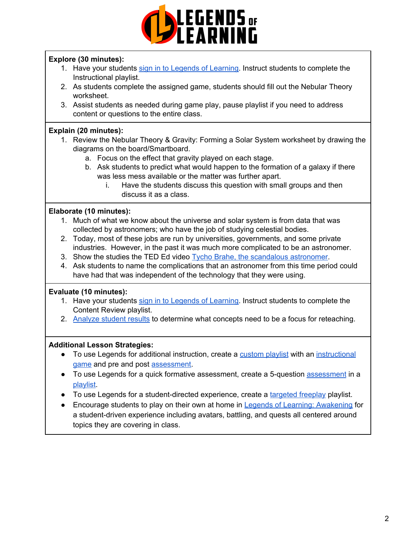

### **Explore (30 minutes):**

- 1. Have your students sign in to Legends of [Learning](https://intercom.help/legends-of-learning/en/articles/2154920-students-joining-a-playlist). Instruct students to complete the Instructional playlist.
- 2. As students complete the assigned game, students should fill out the Nebular Theory worksheet.
- 3. Assist students as needed during game play, pause playlist if you need to address content or questions to the entire class.

### **Explain (20 minutes):**

- 1. Review the Nebular Theory & Gravity: Forming a Solar System worksheet by drawing the diagrams on the board/Smartboard.
	- a. Focus on the effect that gravity played on each stage.
	- b. Ask students to predict what would happen to the formation of a galaxy if there was less mess available or the matter was further apart.
		- i. Have the students discuss this question with small groups and then discuss it as a class.

### **Elaborate (10 minutes):**

- 1. Much of what we know about the universe and solar system is from data that was collected by astronomers; who have the job of studying celestial bodies.
- 2. Today, most of these jobs are run by universities, governments, and some private industries. However, in the past it was much more complicated to be an astronomer.
- 3. Show the studies the TED Ed video Tycho Brahe, the [scandalous](https://www.youtube.com/watch?v=7QDvKzY4aqA) astronomer.
- 4. Ask students to name the complications that an astronomer from this time period could have had that was independent of the technology that they were using.

### **Evaluate (10 minutes):**

- 1. Have your students sign in to Legends of [Learning](https://intercom.help/legends-of-learning/en/articles/2154920-students-joining-a-playlist). Instruct students to complete the Content Review playlist.
- 2. [Analyze](https://intercom.help/legends-of-learning/en/articles/2154918-tracking-student-progress-and-performance) student results to determine what concepts need to be a focus for reteaching.

### **Additional Lesson Strategies:**

- To use Legends for additional instruction, create a [custom](https://intercom.help/legends-of-learning/en/articles/2154910-creating-a-playlist) playlist with an [instructional](https://intercom.help/legends-of-learning/en/articles/3505828-types-of-games) [game](https://intercom.help/legends-of-learning/en/articles/3505828-types-of-games) and pre and post [assessment.](https://intercom.help/legends-of-learning/en/articles/2154913-adding-assessments-to-a-playlist)
- To use Legends for a quick formative [assessment](https://intercom.help/legends-of-learning/en/articles/2154913-adding-assessments-to-a-playlist), create a 5-question assessment in a [playlist.](https://intercom.help/legends-of-learning/en/articles/2154910-creating-a-playlist)
- To use Legends for a student-directed experience, create a [targeted](https://intercom.help/legends-of-learning/en/articles/3340814-targeted-freeplay) freeplay playlist.
- Encourage students to play on their own at home in **Legends of Learning: [Awakening](https://intercom.help/legends-of-learning/en/articles/2425490-legends-of-learning-awakening)** for a student-driven experience including avatars, battling, and quests all centered around topics they are covering in class.